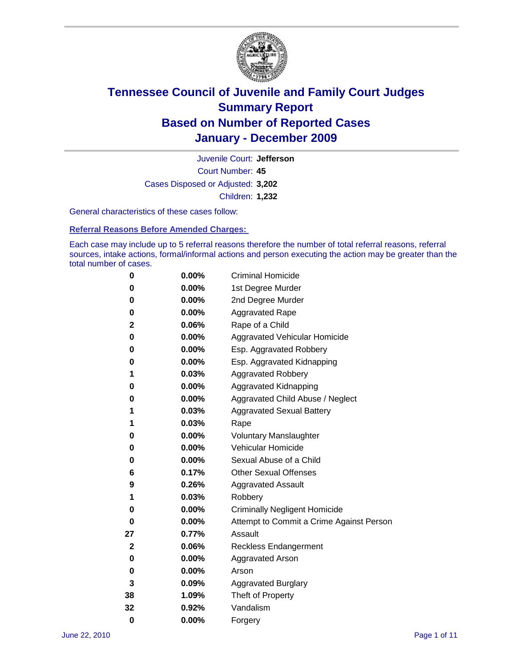

Court Number: **45** Juvenile Court: **Jefferson** Cases Disposed or Adjusted: **3,202** Children: **1,232**

General characteristics of these cases follow:

**Referral Reasons Before Amended Charges:** 

Each case may include up to 5 referral reasons therefore the number of total referral reasons, referral sources, intake actions, formal/informal actions and person executing the action may be greater than the total number of cases.

| 0  | 0.00%    | <b>Criminal Homicide</b>                 |
|----|----------|------------------------------------------|
| 0  | 0.00%    | 1st Degree Murder                        |
| 0  | 0.00%    | 2nd Degree Murder                        |
| 0  | 0.00%    | <b>Aggravated Rape</b>                   |
| 2  | 0.06%    | Rape of a Child                          |
| 0  | 0.00%    | Aggravated Vehicular Homicide            |
| 0  | 0.00%    | Esp. Aggravated Robbery                  |
| 0  | 0.00%    | Esp. Aggravated Kidnapping               |
| 1  | 0.03%    | <b>Aggravated Robbery</b>                |
| 0  | 0.00%    | Aggravated Kidnapping                    |
| 0  | 0.00%    | Aggravated Child Abuse / Neglect         |
| 1  | 0.03%    | <b>Aggravated Sexual Battery</b>         |
| 1  | 0.03%    | Rape                                     |
| 0  | $0.00\%$ | <b>Voluntary Manslaughter</b>            |
| 0  | 0.00%    | Vehicular Homicide                       |
| 0  | 0.00%    | Sexual Abuse of a Child                  |
| 6  | 0.17%    | <b>Other Sexual Offenses</b>             |
| 9  | 0.26%    | <b>Aggravated Assault</b>                |
| 1  | 0.03%    | Robbery                                  |
| 0  | 0.00%    | <b>Criminally Negligent Homicide</b>     |
| 0  | 0.00%    | Attempt to Commit a Crime Against Person |
| 27 | 0.77%    | Assault                                  |
| 2  | 0.06%    | <b>Reckless Endangerment</b>             |
| 0  | 0.00%    | <b>Aggravated Arson</b>                  |
| 0  | 0.00%    | Arson                                    |
| 3  | 0.09%    | <b>Aggravated Burglary</b>               |
| 38 | 1.09%    | Theft of Property                        |
| 32 | 0.92%    | Vandalism                                |
| 0  | 0.00%    | Forgery                                  |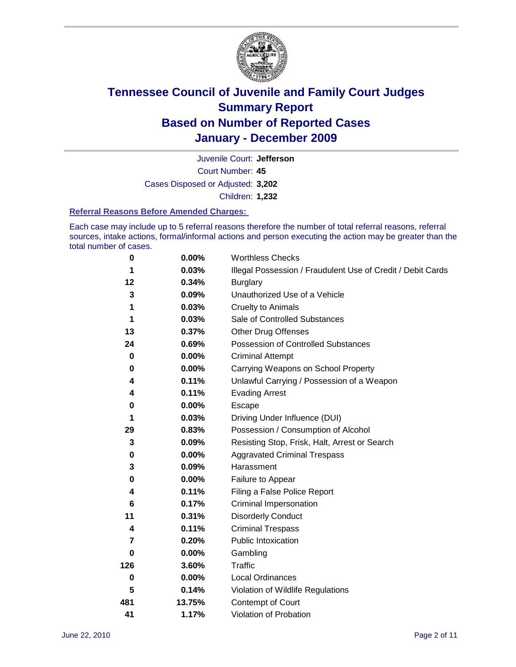

Court Number: **45** Juvenile Court: **Jefferson** Cases Disposed or Adjusted: **3,202** Children: **1,232**

### **Referral Reasons Before Amended Charges:**

Each case may include up to 5 referral reasons therefore the number of total referral reasons, referral sources, intake actions, formal/informal actions and person executing the action may be greater than the total number of cases.

| $\pmb{0}$   | 0.00%    | <b>Worthless Checks</b>                                     |
|-------------|----------|-------------------------------------------------------------|
| 1           | 0.03%    | Illegal Possession / Fraudulent Use of Credit / Debit Cards |
| 12          | 0.34%    | <b>Burglary</b>                                             |
| 3           | 0.09%    | Unauthorized Use of a Vehicle                               |
| 1           | 0.03%    | <b>Cruelty to Animals</b>                                   |
| 1           | 0.03%    | Sale of Controlled Substances                               |
| 13          | 0.37%    | <b>Other Drug Offenses</b>                                  |
| 24          | 0.69%    | Possession of Controlled Substances                         |
| $\mathbf 0$ | $0.00\%$ | <b>Criminal Attempt</b>                                     |
| 0           | 0.00%    | Carrying Weapons on School Property                         |
| 4           | 0.11%    | Unlawful Carrying / Possession of a Weapon                  |
| 4           | 0.11%    | <b>Evading Arrest</b>                                       |
| 0           | 0.00%    | Escape                                                      |
| 1           | 0.03%    | Driving Under Influence (DUI)                               |
| 29          | 0.83%    | Possession / Consumption of Alcohol                         |
| 3           | 0.09%    | Resisting Stop, Frisk, Halt, Arrest or Search               |
| 0           | $0.00\%$ | <b>Aggravated Criminal Trespass</b>                         |
| 3           | 0.09%    | Harassment                                                  |
| 0           | 0.00%    | Failure to Appear                                           |
| 4           | 0.11%    | Filing a False Police Report                                |
| 6           | 0.17%    | Criminal Impersonation                                      |
| 11          | 0.31%    | <b>Disorderly Conduct</b>                                   |
| 4           | 0.11%    | <b>Criminal Trespass</b>                                    |
| 7           | 0.20%    | Public Intoxication                                         |
| 0           | $0.00\%$ | Gambling                                                    |
| 126         | 3.60%    | <b>Traffic</b>                                              |
| 0           | $0.00\%$ | Local Ordinances                                            |
| 5           | 0.14%    | Violation of Wildlife Regulations                           |
| 481         | 13.75%   | Contempt of Court                                           |
| 41          | 1.17%    | Violation of Probation                                      |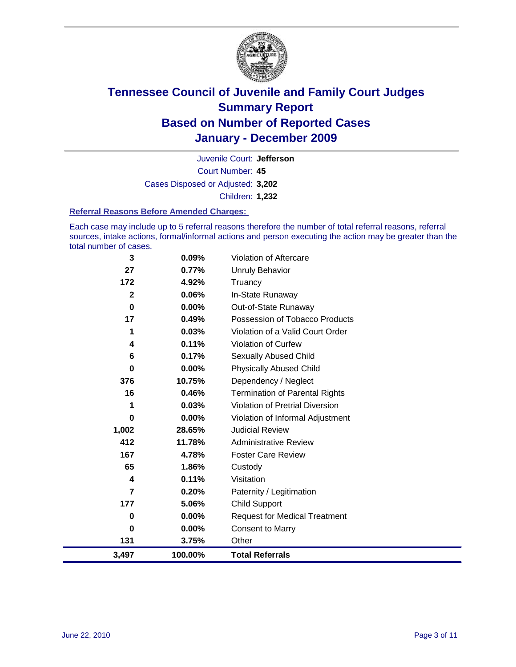

Court Number: **45** Juvenile Court: **Jefferson** Cases Disposed or Adjusted: **3,202** Children: **1,232**

### **Referral Reasons Before Amended Charges:**

Each case may include up to 5 referral reasons therefore the number of total referral reasons, referral sources, intake actions, formal/informal actions and person executing the action may be greater than the total number of cases.

| 3              | 0.09%    | Violation of Aftercare                 |
|----------------|----------|----------------------------------------|
| 27             | 0.77%    | <b>Unruly Behavior</b>                 |
| 172            | 4.92%    | Truancy                                |
| $\mathbf{2}$   | 0.06%    | In-State Runaway                       |
| 0              | $0.00\%$ | Out-of-State Runaway                   |
| 17             | 0.49%    | Possession of Tobacco Products         |
| 1              | 0.03%    | Violation of a Valid Court Order       |
| 4              | 0.11%    | <b>Violation of Curfew</b>             |
| 6              | 0.17%    | <b>Sexually Abused Child</b>           |
| 0              | 0.00%    | <b>Physically Abused Child</b>         |
| 376            | 10.75%   | Dependency / Neglect                   |
| 16             | 0.46%    | <b>Termination of Parental Rights</b>  |
| 1              | 0.03%    | <b>Violation of Pretrial Diversion</b> |
| 0              | 0.00%    | Violation of Informal Adjustment       |
| 1,002          | 28.65%   | <b>Judicial Review</b>                 |
| 412            | 11.78%   | <b>Administrative Review</b>           |
| 167            | 4.78%    | <b>Foster Care Review</b>              |
| 65             | 1.86%    | Custody                                |
| 4              | 0.11%    | Visitation                             |
| $\overline{7}$ | 0.20%    | Paternity / Legitimation               |
| 177            | 5.06%    | <b>Child Support</b>                   |
| 0              | 0.00%    | <b>Request for Medical Treatment</b>   |
| 0              | 0.00%    | <b>Consent to Marry</b>                |
| 131            | 3.75%    | Other                                  |
| 3,497          | 100.00%  | <b>Total Referrals</b>                 |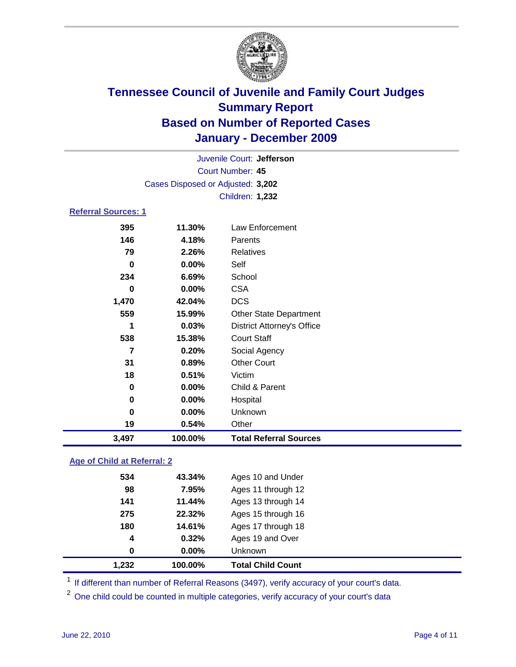

| 3,497                      | 100.00%                           | <b>Total Referral Sources</b>     |  |  |
|----------------------------|-----------------------------------|-----------------------------------|--|--|
| 19                         | 0.54%                             | Other                             |  |  |
| 0                          | 0.00%                             | Unknown                           |  |  |
| 0                          | 0.00%                             | Hospital                          |  |  |
| 0                          | 0.00%                             | Child & Parent                    |  |  |
| 18                         | 0.51%                             | Victim                            |  |  |
| 31                         | 0.89%                             | <b>Other Court</b>                |  |  |
| $\overline{7}$             | 0.20%                             | Social Agency                     |  |  |
| 538                        | 15.38%                            | <b>Court Staff</b>                |  |  |
| 1                          | 0.03%                             | <b>District Attorney's Office</b> |  |  |
| 559                        | 15.99%                            | Other State Department            |  |  |
| 1,470                      | 42.04%                            | <b>DCS</b>                        |  |  |
| 0                          | $0.00\%$                          | <b>CSA</b>                        |  |  |
| 234                        | 6.69%                             | School                            |  |  |
| $\bf{0}$                   | 0.00%                             | Self                              |  |  |
| 79                         | 2.26%                             | Relatives                         |  |  |
| 146                        | 4.18%                             | Parents                           |  |  |
| 395                        | 11.30%                            | Law Enforcement                   |  |  |
| <b>Referral Sources: 1</b> |                                   |                                   |  |  |
|                            |                                   | <b>Children: 1,232</b>            |  |  |
|                            | Cases Disposed or Adjusted: 3,202 |                                   |  |  |
|                            | <b>Court Number: 45</b>           |                                   |  |  |
| Juvenile Court: Jefferson  |                                   |                                   |  |  |
|                            |                                   |                                   |  |  |

### **Age of Child at Referral: 2**

| 1,232            | 100.00% | <b>Total Child Count</b> |
|------------------|---------|--------------------------|
| 0                | 0.00%   | Unknown                  |
| $\boldsymbol{4}$ | 0.32%   | Ages 19 and Over         |
| 180              | 14.61%  | Ages 17 through 18       |
| 275              | 22.32%  | Ages 15 through 16       |
| 141              | 11.44%  | Ages 13 through 14       |
| 98               | 7.95%   | Ages 11 through 12       |
| 534              | 43.34%  | Ages 10 and Under        |
|                  |         |                          |

<sup>1</sup> If different than number of Referral Reasons (3497), verify accuracy of your court's data.

<sup>2</sup> One child could be counted in multiple categories, verify accuracy of your court's data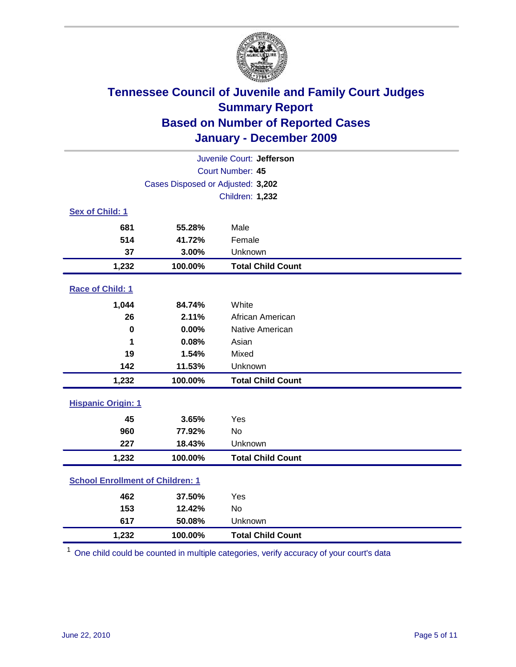

| Juvenile Court: Jefferson               |                                   |                          |  |  |  |
|-----------------------------------------|-----------------------------------|--------------------------|--|--|--|
| Court Number: 45                        |                                   |                          |  |  |  |
|                                         | Cases Disposed or Adjusted: 3,202 |                          |  |  |  |
|                                         |                                   | <b>Children: 1,232</b>   |  |  |  |
| Sex of Child: 1                         |                                   |                          |  |  |  |
| 681                                     | 55.28%                            | Male                     |  |  |  |
| 514                                     | 41.72%                            | Female                   |  |  |  |
| 37                                      | 3.00%                             | Unknown                  |  |  |  |
| 1,232                                   | 100.00%                           | <b>Total Child Count</b> |  |  |  |
| Race of Child: 1                        |                                   |                          |  |  |  |
| 1,044                                   | 84.74%                            | White                    |  |  |  |
| 26                                      | 2.11%                             | African American         |  |  |  |
| $\pmb{0}$                               | 0.00%                             | Native American          |  |  |  |
| 1                                       | 0.08%                             | Asian                    |  |  |  |
| 19                                      | 1.54%                             | Mixed                    |  |  |  |
| 142                                     | 11.53%                            | Unknown                  |  |  |  |
| 1,232                                   | 100.00%                           | <b>Total Child Count</b> |  |  |  |
| <b>Hispanic Origin: 1</b>               |                                   |                          |  |  |  |
| 45                                      | 3.65%                             | Yes                      |  |  |  |
| 960                                     | 77.92%                            | No                       |  |  |  |
| 227                                     | 18.43%                            | Unknown                  |  |  |  |
| 1,232                                   | 100.00%                           | <b>Total Child Count</b> |  |  |  |
| <b>School Enrollment of Children: 1</b> |                                   |                          |  |  |  |
| 462                                     | 37.50%                            | Yes                      |  |  |  |
| 153                                     | 12.42%                            | No                       |  |  |  |
| 617                                     | 50.08%                            | Unknown                  |  |  |  |
| 1,232                                   | 100.00%                           | <b>Total Child Count</b> |  |  |  |

<sup>1</sup> One child could be counted in multiple categories, verify accuracy of your court's data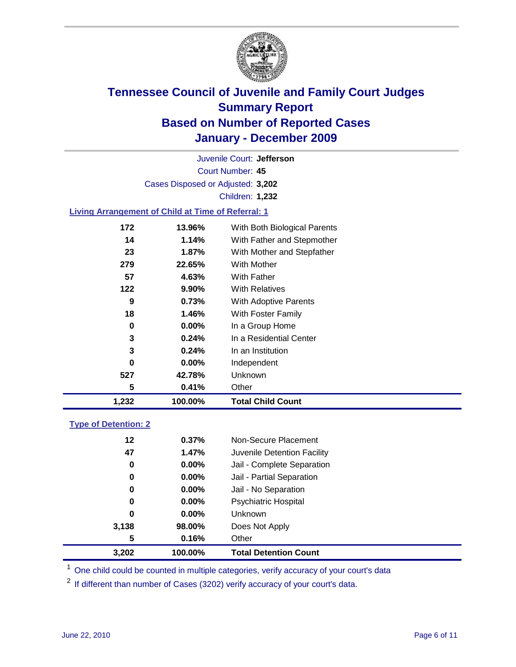

Court Number: **45** Juvenile Court: **Jefferson** Cases Disposed or Adjusted: **3,202** Children: **1,232**

### **Living Arrangement of Child at Time of Referral: 1**

| 1,232 | 100.00%  | <b>Total Child Count</b>     |
|-------|----------|------------------------------|
| 5     | 0.41%    | Other                        |
| 527   | 42.78%   | Unknown                      |
| 0     | $0.00\%$ | Independent                  |
| 3     | 0.24%    | In an Institution            |
| 3     | 0.24%    | In a Residential Center      |
| 0     | $0.00\%$ | In a Group Home              |
| 18    | 1.46%    | With Foster Family           |
| 9     | 0.73%    | <b>With Adoptive Parents</b> |
| 122   | $9.90\%$ | <b>With Relatives</b>        |
| 57    | 4.63%    | With Father                  |
| 279   | 22.65%   | <b>With Mother</b>           |
| 23    | 1.87%    | With Mother and Stepfather   |
| 14    | 1.14%    | With Father and Stepmother   |
| 172   | 13.96%   | With Both Biological Parents |

### **Type of Detention: 2**

| 3,202 | 100.00%  | <b>Total Detention Count</b> |
|-------|----------|------------------------------|
| 5     | 0.16%    | Other                        |
| 3,138 | 98.00%   | Does Not Apply               |
| 0     | $0.00\%$ | Unknown                      |
| 0     | $0.00\%$ | <b>Psychiatric Hospital</b>  |
| 0     | 0.00%    | Jail - No Separation         |
| 0     | $0.00\%$ | Jail - Partial Separation    |
| 0     | 0.00%    | Jail - Complete Separation   |
| 47    | 1.47%    | Juvenile Detention Facility  |
| 12    | 0.37%    | Non-Secure Placement         |
|       |          |                              |

<sup>1</sup> One child could be counted in multiple categories, verify accuracy of your court's data

<sup>2</sup> If different than number of Cases (3202) verify accuracy of your court's data.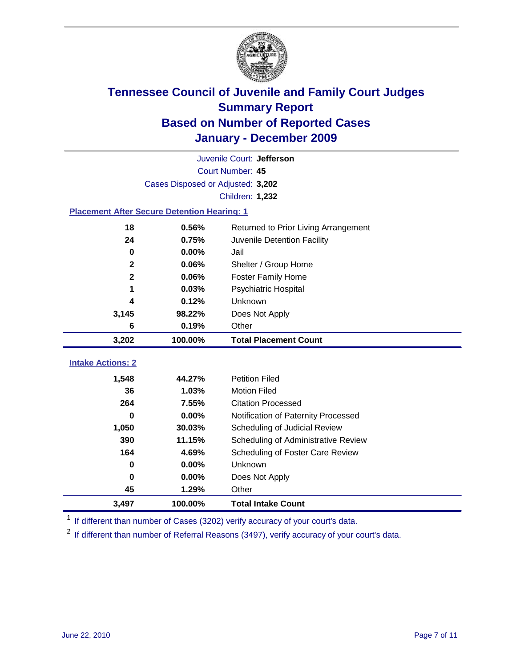

| Juvenile Court: Jefferson                          |                                   |                                      |  |  |  |
|----------------------------------------------------|-----------------------------------|--------------------------------------|--|--|--|
|                                                    | Court Number: 45                  |                                      |  |  |  |
|                                                    | Cases Disposed or Adjusted: 3,202 |                                      |  |  |  |
|                                                    |                                   | Children: 1,232                      |  |  |  |
| <b>Placement After Secure Detention Hearing: 1</b> |                                   |                                      |  |  |  |
| 18                                                 | 0.56%                             | Returned to Prior Living Arrangement |  |  |  |
| 24                                                 | 0.75%                             | Juvenile Detention Facility          |  |  |  |
| $\bf{0}$                                           | 0.00%                             | Jail                                 |  |  |  |
| $\mathbf{2}$                                       | 0.06%                             | Shelter / Group Home                 |  |  |  |
| $\mathbf{2}$                                       | 0.06%                             | Foster Family Home                   |  |  |  |
| 1                                                  | 0.03%                             | Psychiatric Hospital                 |  |  |  |
| 4                                                  | 0.12%                             | Unknown                              |  |  |  |
| 3,145                                              | 98.22%                            | Does Not Apply                       |  |  |  |
| 6                                                  | 0.19%                             | Other                                |  |  |  |
| 3,202                                              | 100.00%                           | <b>Total Placement Count</b>         |  |  |  |
| <b>Intake Actions: 2</b>                           |                                   |                                      |  |  |  |
|                                                    |                                   |                                      |  |  |  |
| 1,548                                              | 44.27%                            | <b>Petition Filed</b>                |  |  |  |
| 36                                                 | 1.03%                             | <b>Motion Filed</b>                  |  |  |  |
| 264                                                | 7.55%                             | <b>Citation Processed</b>            |  |  |  |
| <sup>0</sup>                                       | 0.00%                             | Notification of Paternity Processed  |  |  |  |
| 1,050                                              | 30.03%                            | Scheduling of Judicial Review        |  |  |  |
| 390                                                | 11.15%                            | Scheduling of Administrative Review  |  |  |  |
| 164                                                | 4.69%                             | Scheduling of Foster Care Review     |  |  |  |
| 0                                                  | 0.00%                             | Unknown                              |  |  |  |
| 0                                                  | 0.00%                             | Does Not Apply                       |  |  |  |
| 45                                                 | 1.29%                             | Other                                |  |  |  |
| 3,497                                              | 100.00%                           | <b>Total Intake Count</b>            |  |  |  |

<sup>1</sup> If different than number of Cases (3202) verify accuracy of your court's data.

<sup>2</sup> If different than number of Referral Reasons (3497), verify accuracy of your court's data.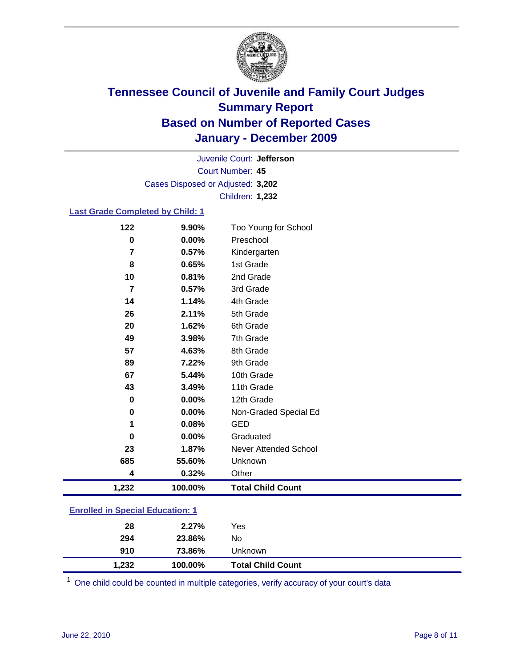

Court Number: **45** Juvenile Court: **Jefferson** Cases Disposed or Adjusted: **3,202** Children: **1,232**

### **Last Grade Completed by Child: 1**

| 122                                     | 9.90%   | Too Young for School         |  |
|-----------------------------------------|---------|------------------------------|--|
| $\mathbf 0$                             | 0.00%   | Preschool                    |  |
| 7                                       | 0.57%   | Kindergarten                 |  |
| 8                                       | 0.65%   | 1st Grade                    |  |
| 10                                      | 0.81%   | 2nd Grade                    |  |
| $\overline{7}$                          | 0.57%   | 3rd Grade                    |  |
| 14                                      | 1.14%   | 4th Grade                    |  |
| 26                                      | 2.11%   | 5th Grade                    |  |
| 20                                      | 1.62%   | 6th Grade                    |  |
| 49                                      | 3.98%   | 7th Grade                    |  |
| 57                                      | 4.63%   | 8th Grade                    |  |
| 89                                      | 7.22%   | 9th Grade                    |  |
| 67                                      | 5.44%   | 10th Grade                   |  |
| 43                                      | 3.49%   | 11th Grade                   |  |
| 0                                       | 0.00%   | 12th Grade                   |  |
| 0                                       | 0.00%   | Non-Graded Special Ed        |  |
| 1                                       | 0.08%   | <b>GED</b>                   |  |
| 0                                       | 0.00%   | Graduated                    |  |
| 23                                      | 1.87%   | <b>Never Attended School</b> |  |
| 685                                     | 55.60%  | Unknown                      |  |
| 4                                       | 0.32%   | Other                        |  |
| 1,232                                   | 100.00% | <b>Total Child Count</b>     |  |
| <b>Enrolled in Special Education: 1</b> |         |                              |  |

| 1,232 | 100.00% | <b>Total Child Count</b> |  |
|-------|---------|--------------------------|--|
| 910   | 73.86%  | <b>Unknown</b>           |  |
| 294   | 23.86%  | No                       |  |
| 28    | 2.27%   | Yes                      |  |
|       |         |                          |  |

One child could be counted in multiple categories, verify accuracy of your court's data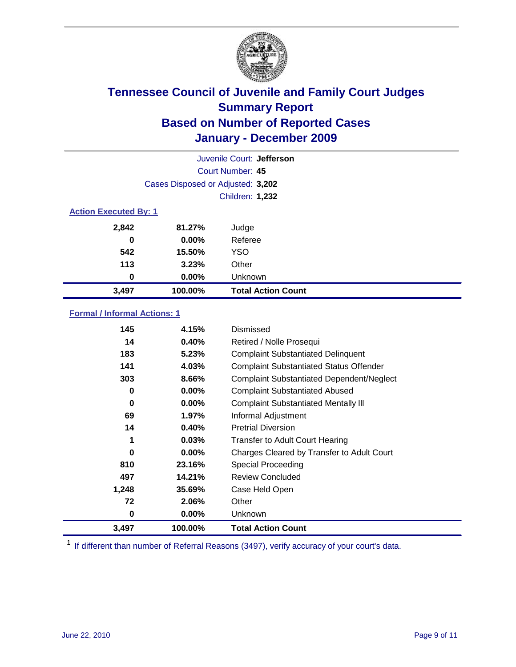

| Juvenile Court: Jefferson    |                                   |                           |  |  |
|------------------------------|-----------------------------------|---------------------------|--|--|
|                              | Court Number: 45                  |                           |  |  |
|                              | Cases Disposed or Adjusted: 3,202 |                           |  |  |
|                              | <b>Children: 1,232</b>            |                           |  |  |
| <b>Action Executed By: 1</b> |                                   |                           |  |  |
| 2,842                        | 81.27%                            | Judge                     |  |  |
| 0                            | $0.00\%$                          | Referee                   |  |  |
| 542                          | 15.50%                            | <b>YSO</b>                |  |  |
| 113                          | 3.23%                             | Other                     |  |  |
| 0                            | 0.00%                             | Unknown                   |  |  |
| 3,497                        | 100.00%                           | <b>Total Action Count</b> |  |  |

### **Formal / Informal Actions: 1**

| 145   | 4.15%    | Dismissed                                        |
|-------|----------|--------------------------------------------------|
| 14    | 0.40%    | Retired / Nolle Prosequi                         |
| 183   | 5.23%    | <b>Complaint Substantiated Delinquent</b>        |
| 141   | 4.03%    | <b>Complaint Substantiated Status Offender</b>   |
| 303   | 8.66%    | <b>Complaint Substantiated Dependent/Neglect</b> |
| 0     | $0.00\%$ | <b>Complaint Substantiated Abused</b>            |
| 0     | $0.00\%$ | <b>Complaint Substantiated Mentally III</b>      |
| 69    | $1.97\%$ | Informal Adjustment                              |
| 14    | 0.40%    | <b>Pretrial Diversion</b>                        |
| 1     | 0.03%    | <b>Transfer to Adult Court Hearing</b>           |
| 0     | $0.00\%$ | Charges Cleared by Transfer to Adult Court       |
| 810   | 23.16%   | Special Proceeding                               |
| 497   | 14.21%   | <b>Review Concluded</b>                          |
| 1,248 | 35.69%   | Case Held Open                                   |
| 72    | 2.06%    | Other                                            |
| 0     | $0.00\%$ | <b>Unknown</b>                                   |
| 3,497 | 100.00%  | <b>Total Action Count</b>                        |

<sup>1</sup> If different than number of Referral Reasons (3497), verify accuracy of your court's data.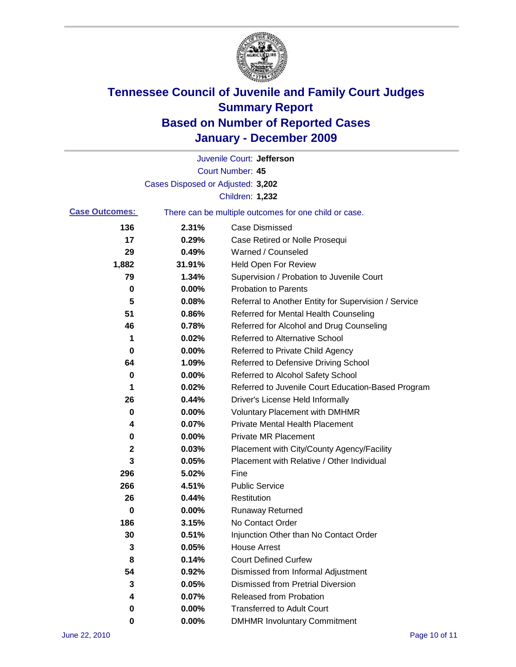

|                       |                                   | Juvenile Court: Jefferson                             |
|-----------------------|-----------------------------------|-------------------------------------------------------|
|                       |                                   | Court Number: 45                                      |
|                       | Cases Disposed or Adjusted: 3,202 |                                                       |
|                       |                                   | Children: 1,232                                       |
| <b>Case Outcomes:</b> |                                   | There can be multiple outcomes for one child or case. |
| 136                   | 2.31%                             | <b>Case Dismissed</b>                                 |
| 17                    | 0.29%                             | Case Retired or Nolle Prosequi                        |
| 29                    | 0.49%                             | Warned / Counseled                                    |
| 1,882                 | 31.91%                            | Held Open For Review                                  |
| 79                    | 1.34%                             | Supervision / Probation to Juvenile Court             |
| 0                     | 0.00%                             | <b>Probation to Parents</b>                           |
| 5                     | 0.08%                             | Referral to Another Entity for Supervision / Service  |
| 51                    | 0.86%                             | Referred for Mental Health Counseling                 |
| 46                    | 0.78%                             | Referred for Alcohol and Drug Counseling              |
| 1                     | 0.02%                             | <b>Referred to Alternative School</b>                 |
| 0                     | 0.00%                             | Referred to Private Child Agency                      |
| 64                    | 1.09%                             | Referred to Defensive Driving School                  |
| 0                     | 0.00%                             | Referred to Alcohol Safety School                     |
| 1                     | 0.02%                             | Referred to Juvenile Court Education-Based Program    |
| 26                    | 0.44%                             | Driver's License Held Informally                      |
| 0                     | 0.00%                             | <b>Voluntary Placement with DMHMR</b>                 |
| 4                     | 0.07%                             | <b>Private Mental Health Placement</b>                |
| 0                     | 0.00%                             | <b>Private MR Placement</b>                           |
| $\mathbf{2}$          | 0.03%                             | Placement with City/County Agency/Facility            |
| 3                     | 0.05%                             | Placement with Relative / Other Individual            |
| 296                   | 5.02%                             | Fine                                                  |
| 266                   | 4.51%                             | <b>Public Service</b>                                 |
| 26                    | 0.44%                             | Restitution                                           |
| 0                     | 0.00%                             | <b>Runaway Returned</b>                               |
| 186                   | 3.15%                             | No Contact Order                                      |
| 30                    | 0.51%                             | Injunction Other than No Contact Order                |
| 3                     | 0.05%                             | <b>House Arrest</b>                                   |
| 8                     | 0.14%                             | <b>Court Defined Curfew</b>                           |
| 54                    | 0.92%                             | Dismissed from Informal Adjustment                    |
| 3                     | 0.05%                             | <b>Dismissed from Pretrial Diversion</b>              |
| 4                     | 0.07%                             | Released from Probation                               |
| 0                     | 0.00%                             | <b>Transferred to Adult Court</b>                     |
| 0                     | $0.00\%$                          | <b>DMHMR Involuntary Commitment</b>                   |